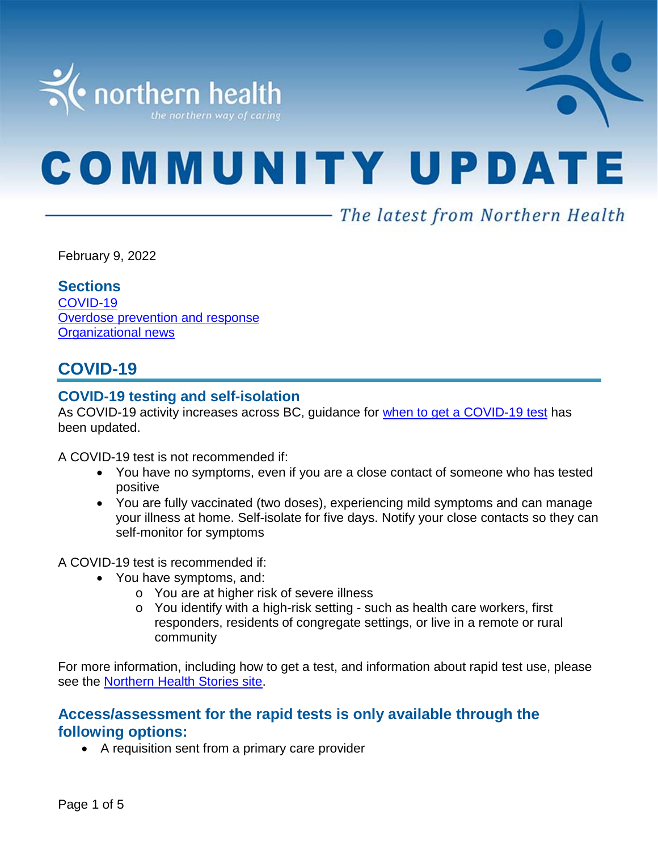

# **COMMUNITY UPDATE**

# - The latest from Northern Health

February 9, 2022

#### **Sections**

[COVID-19](#page-0-0) [Overdose prevention and response](#page-3-0) Organizational news

# <span id="page-0-0"></span>**COVID-19**

# **COVID-19 testing and self-isolation**

As COVID-19 activity increases across BC, guidance for [when to get a COVID-19 test](https://bc.thrive.health/) has been updated.

A COVID-19 test is not recommended if:

- You have no symptoms, even if you are a close contact of someone who has tested positive
- You are fully vaccinated (two doses), experiencing mild symptoms and can manage your illness at home. Self-isolate for five days. Notify your close contacts so they can self-monitor for symptoms

A COVID-19 test is recommended if:

- You have symptoms, and:
	- o You are at higher risk of severe illness
	- o You identify with a high-risk setting such as health care workers, first responders, residents of congregate settings, or live in a remote or rural community

For more information, including how to get a test, and information about rapid test use, please see the [Northern Health Stories site.](https://stories.northernhealth.ca/news/when-get-covid-19-test-updated-guidelines)

# **Access/assessment for the rapid tests is only available through the following options:**

• A requisition sent from a primary care provider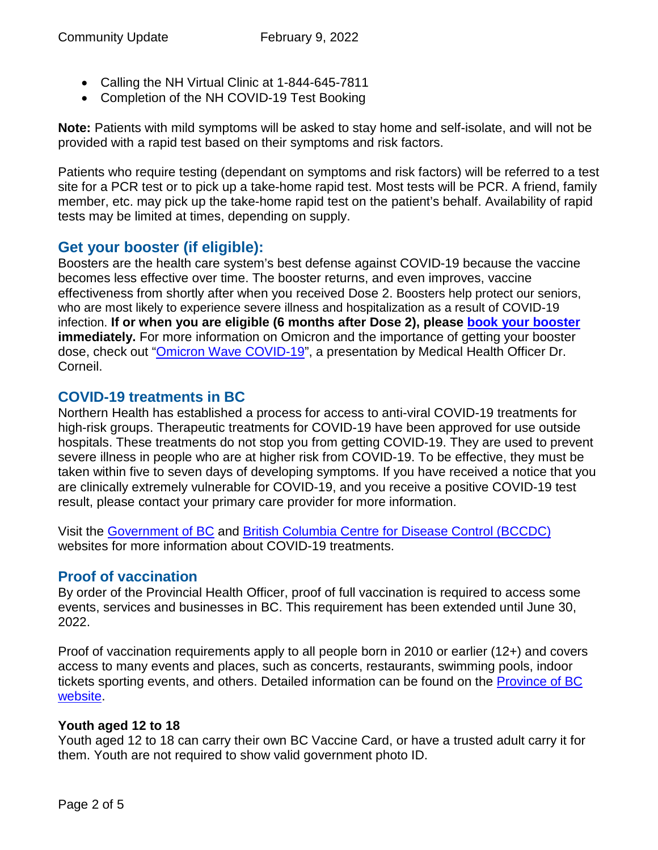- Calling the NH Virtual Clinic at 1-844-645-7811
- Completion of the NH COVID-19 Test Booking

**Note:** Patients with mild symptoms will be asked to stay home and self-isolate, and will not be provided with a rapid test based on their symptoms and risk factors.

Patients who require testing (dependant on symptoms and risk factors) will be referred to a test site for a PCR test or to pick up a take-home rapid test. Most tests will be PCR. A friend, family member, etc. may pick up the take-home rapid test on the patient's behalf. Availability of rapid tests may be limited at times, depending on supply.

# **Get your booster (if eligible):**

Boosters are the health care system's best defense against COVID-19 because the vaccine becomes less effective over time. The booster returns, and even improves, vaccine effectiveness from shortly after when you received Dose 2. Boosters help protect our seniors, who are most likely to experience severe illness and hospitalization as a result of COVID-19 infection. **If or when you are eligible (6 months after Dose 2), please [book your booster](https://www.getvaccinated.gov.bc.ca/s/) immediately.** For more information on Omicron and the importance of getting your booster dose, check out ["Omicron Wave COVID-19"](https://youtu.be/Dm_lvD2_wEg), a presentation by Medical Health Officer Dr. Corneil.

# **COVID-19 treatments in BC**

Northern Health has established a process for access to anti-viral COVID-19 treatments for high-risk groups. Therapeutic treatments for COVID-19 have been approved for use outside hospitals. These treatments do not stop you from getting COVID-19. They are used to prevent severe illness in people who are at higher risk from COVID-19. To be effective, they must be taken within five to seven days of developing symptoms. If you have received a notice that you are clinically extremely vulnerable for COVID-19, and you receive a positive COVID-19 test result, please contact your primary care provider for more information.

Visit the [Government of BC](https://www2.gov.bc.ca/gov/content/covid-19/vaccine/treatments) and [British Columbia Centre for Disease Control \(BCCDC\)](http://www.bccdc.ca/health-info/diseases-conditions/covid-19/about-covid-19/treatments) websites for more information about COVID-19 treatments.

# **Proof of vaccination**

By order of the Provincial Health Officer, proof of full vaccination is required to access some events, services and businesses in BC. This requirement has been extended until June 30, 2022.

Proof of vaccination requirements apply to all people born in 2010 or earlier (12+) and covers access to many events and places, such as concerts, restaurants, swimming pools, indoor tickets sporting events, and others. Detailed information can be found on the [Province of BC](https://www2.gov.bc.ca/gov/content/covid-19/vaccine/proof)  [website.](https://www2.gov.bc.ca/gov/content/covid-19/vaccine/proof)

#### **Youth aged 12 to 18**

Youth aged 12 to 18 can carry their own BC Vaccine Card, or have a trusted adult carry it for them. Youth are not required to show valid government photo ID.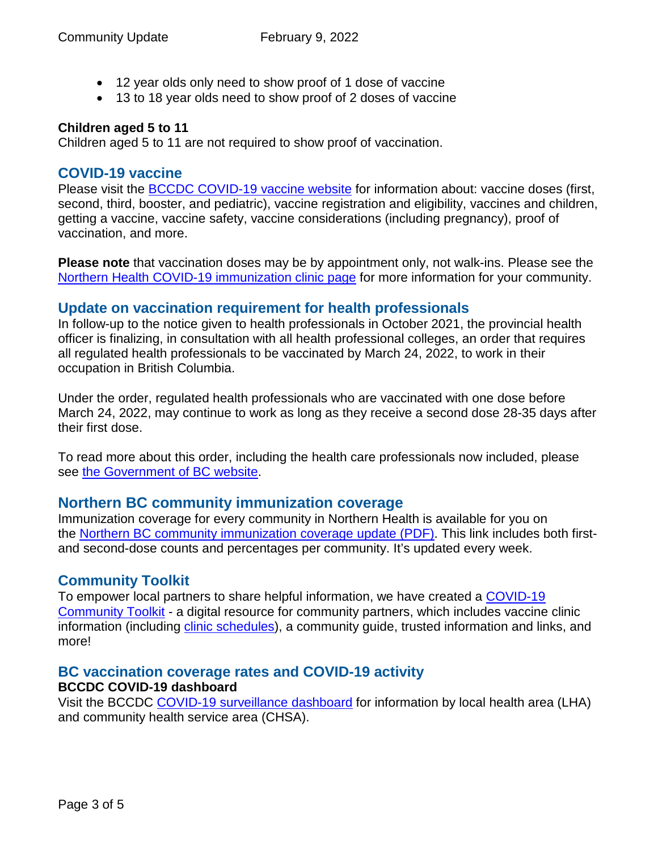- 12 year olds only need to show proof of 1 dose of vaccine
- 13 to 18 year olds need to show proof of 2 doses of vaccine

#### **Children aged 5 to 11**

Children aged 5 to 11 are not required to show proof of vaccination.

#### **COVID-19 vaccine**

Please visit the **BCCDC COVID-19 vaccine website** for information about: vaccine doses (first, second, third, booster, and pediatric), vaccine registration and eligibility, vaccines and children, getting a vaccine, vaccine safety, vaccine considerations (including pregnancy), proof of vaccination, and more.

**Please note** that vaccination doses may be by appointment only, not walk-ins. Please see the [Northern Health COVID-19 immunization clinic page](https://www.northernhealth.ca/health-topics/covid-19-immunization-clinics) for more information for your community.

#### **Update on vaccination requirement for health professionals**

In follow-up to the notice given to health professionals in October 2021, the provincial health officer is finalizing, in consultation with all health professional colleges, an order that requires all regulated health professionals to be vaccinated by March 24, 2022, to work in their occupation in British Columbia.

Under the order, regulated health professionals who are vaccinated with one dose before March 24, 2022, may continue to work as long as they receive a second dose 28-35 days after their first dose.

To read more about this order, including the health care professionals now included, please see [the Government of BC website.](https://news.gov.bc.ca/releases/2022HLTH0047-000195)

#### **Northern BC community immunization coverage**

Immunization coverage for every community in Northern Health is available for you on the [Northern BC community immunization coverage update](https://www.northernhealth.ca/sites/northern_health/files/health-information/health-topics/vaccine/documents/northern-bc-immunization-coverage.pdf) (PDF). This link includes both firstand second-dose counts and percentages per community. It's updated every week.

#### **Community Toolkit**

To empower local partners to share helpful information, we have created a [COVID-19](https://www.northernhealth.ca/health-topics/covid-19-vaccine-plan/covid-19-community-toolkit)  [Community Toolkit](https://www.northernhealth.ca/health-topics/covid-19-vaccine-plan/covid-19-community-toolkit) - a digital resource for community partners, which includes vaccine clinic information (including [clinic schedules\)](https://www.northernhealth.ca/health-topics/covid-19-immunization-clinics), a community guide, trusted information and links, and more!

# **BC vaccination coverage rates and COVID-19 activity**

#### **BCCDC COVID-19 dashboard**

Visit the BCCDC [COVID-19 surveillance dashboard](https://public.tableau.com/app/profile/bccdc/viz/BCCDCCOVID-19SurveillanceDashboard/Introduction) for information by local health area (LHA) and community health service area (CHSA).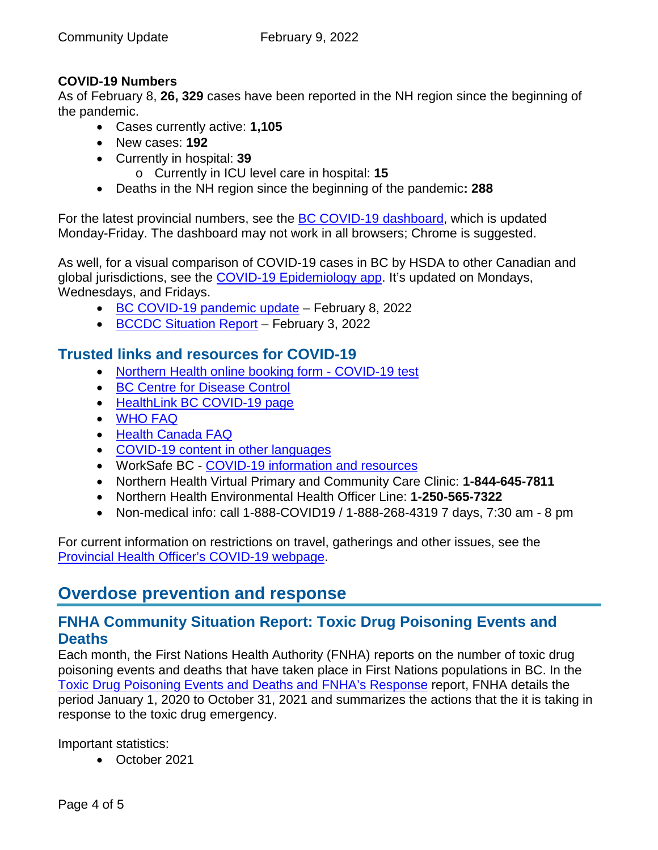#### **COVID-19 Numbers**

As of February 8, **26, 329** cases have been reported in the NH region since the beginning of the pandemic.

- Cases currently active: **1,105**
- New cases: **192**
- Currently in hospital: **39**
	- o Currently in ICU level care in hospital: **15**
- Deaths in the NH region since the beginning of the pandemic**: 288**

For the latest provincial numbers, see the [BC COVID-19 dashboard,](https://experience.arcgis.com/experience/a6f23959a8b14bfa989e3cda29297ded) which is updated Monday-Friday. The dashboard may not work in all browsers; Chrome is suggested.

As well, for a visual comparison of COVID-19 cases in BC by HSDA to other Canadian and global jurisdictions, see the [COVID-19 Epidemiology app.](https://bccdc.shinyapps.io/covid19_global_epi_app/) It's updated on Mondays, Wednesdays, and Fridays.

- [BC COVID-19 pandemic update](https://news.gov.bc.ca/releases/2022HLTH0043-000184) February 8, 2022
- [BCCDC Situation Report](http://www.bccdc.ca/Health-Info-Site/Documents/COVID_sitrep/Week_3_2022_BC_COVID-19_Situation_Report.pdf) February 3, 2022

# **Trusted links and resources for COVID-19**

- [Northern Health online booking form -](https://northernhealthcovid.secureform.ca/index.php) COVID-19 test
- [BC Centre for Disease Control](http://www.bccdc.ca/health-professionals/clinical-resources/covid-19-care)
- [HealthLink BC COVID-19 page](https://www.healthlinkbc.ca/health-feature/coronavirus-disease-covid-19)
- [WHO FAQ](https://www.who.int/news-room/q-a-detail/q-a-coronaviruses)
- [Health Canada FAQ](https://www.canada.ca/en/public-health/services/diseases/2019-novel-coronavirus-infection/canadas-reponse.html)
- [COVID-19 content in other languages](http://www.bccdc.ca/health-info/diseases-conditions/covid-19/about-covid-19/translated-content)
- WorkSafe BC [COVID-19 information and resources](https://www.worksafebc.com/en/covid-19)
- Northern Health Virtual Primary and Community Care Clinic: **1-844-645-7811**
- Northern Health Environmental Health Officer Line: **1-250-565-7322**
- <span id="page-3-0"></span>• Non-medical info: call 1-888-COVID19 / 1-888-268-4319 7 days, 7:30 am - 8 pm

For current information on restrictions on travel, gatherings and other issues, see the [Provincial Health Officer's COVID-19 webpage.](https://www2.gov.bc.ca/gov/content/health/about-bc-s-health-care-system/office-of-the-provincial-health-officer/current-health-topics/covid-19-novel-coronavirus)

# **Overdose prevention and response**

# **FNHA Community Situation Report: Toxic Drug Poisoning Events and Deaths**

Each month, the First Nations Health Authority (FNHA) reports on the number of toxic drug poisoning events and deaths that have taken place in First Nations populations in BC. In the [Toxic Drug Poisoning Events and Deaths and FNHA's Response](https://www.fnha.ca/Documents/FNHA-toxic-drug-crisis-and-fnha-response-october-2021.pdf) report, FNHA details the period January 1, 2020 to October 31, 2021 and summarizes the actions that the it is taking in response to the toxic drug emergency.

Important statistics:

• October 2021